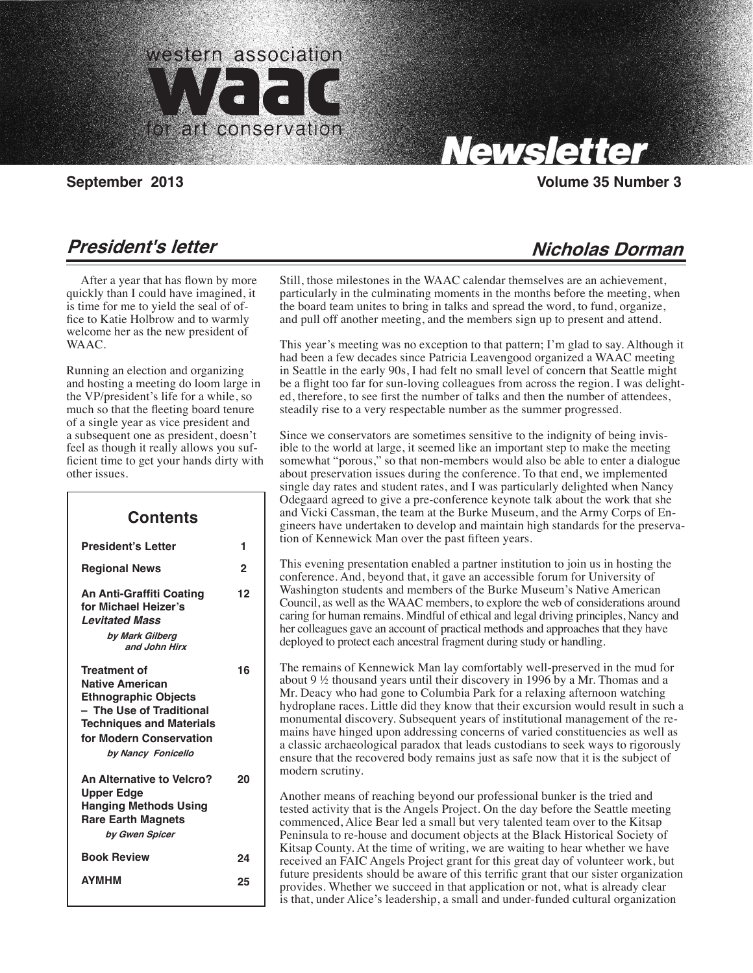

Carolyn Tallent, Editor

 **1 2**

# **Newsletter**

## Santa Monica, CA 90403

## **September 2013** Volume 35 Number 3

**Nicholas Dorman**

## **President's letter**

 After a year that has flown by more quickly than I could have imagined, it is time for me to yield the seal of office to Katie Holbrow and to warmly welcome her as the new president of WAAC.

Running an election and organizing and hosting a meeting do loom large in the VP/president's life for a while, so much so that the fleeting board tenure of a single year as vice president and a subsequent one as president, doesn't feel as though it really allows you sufficient time to get your hands dirty with other issues.

#### **President's Letter Regional News An Anti-Graffiti Coating for Michael Heizer's Levitated Mass by Mark Gilberg and John Hirx Treatment of Native American Ethnographic Objects – The Use of Traditional Techniques and Materials for Modern Conservation by Nancy Fonicello An Alternative to Velcro? Upper Edge Hanging Methods Using Rare Earth Magnets by Gwen Spicer Book Review AYMHM Contents 12 16 20 24 25**

Still, those milestones in the WAAC calendar themselves are an achievement, particularly in the culminating moments in the months before the meeting, when the board team unites to bring in talks and spread the word, to fund, organize, and pull off another meeting, and the members sign up to present and attend.

This year's meeting was no exception to that pattern; I'm glad to say. Although it had been a few decades since Patricia Leavengood organized a WAAC meeting in Seattle in the early 90s, I had felt no small level of concern that Seattle might be a flight too far for sun-loving colleagues from across the region. I was delighted, therefore, to see first the number of talks and then the number of attendees, steadily rise to a very respectable number as the summer progressed.

Since we conservators are sometimes sensitive to the indignity of being invisible to the world at large, it seemed like an important step to make the meeting somewhat "porous," so that non-members would also be able to enter a dialogue about preservation issues during the conference. To that end, we implemented single day rates and student rates, and I was particularly delighted when Nancy Odegaard agreed to give a pre-conference keynote talk about the work that she and Vicki Cassman, the team at the Burke Museum, and the Army Corps of Engineers have undertaken to develop and maintain high standards for the preservation of Kennewick Man over the past fifteen years.

This evening presentation enabled a partner institution to join us in hosting the conference. And, beyond that, it gave an accessible forum for University of Washington students and members of the Burke Museum's Native American Council, as well as the WAAC members, to explore the web of considerations around caring for human remains. Mindful of ethical and legal driving principles, Nancy and her colleagues gave an account of practical methods and approaches that they have deployed to protect each ancestral fragment during study or handling.

The remains of Kennewick Man lay comfortably well-preserved in the mud for about 9 ½ thousand years until their discovery in 1996 by a Mr. Thomas and a Mr. Deacy who had gone to Columbia Park for a relaxing afternoon watching hydroplane races. Little did they know that their excursion would result in such a monumental discovery. Subsequent years of institutional management of the remains have hinged upon addressing concerns of varied constituencies as well as a classic archaeological paradox that leads custodians to seek ways to rigorously ensure that the recovered body remains just as safe now that it is the subject of modern scrutiny.

Another means of reaching beyond our professional bunker is the tried and tested activity that is the Angels Project. On the day before the Seattle meeting commenced, Alice Bear led a small but very talented team over to the Kitsap Peninsula to re-house and document objects at the Black Historical Society of Kitsap County. At the time of writing, we are waiting to hear whether we have received an FAIC Angels Project grant for this great day of volunteer work, but future presidents should be aware of this terrific grant that our sister organization provides. Whether we succeed in that application or not, what is already clear is that, under Alice's leadership, a small and under-funded cultural organization